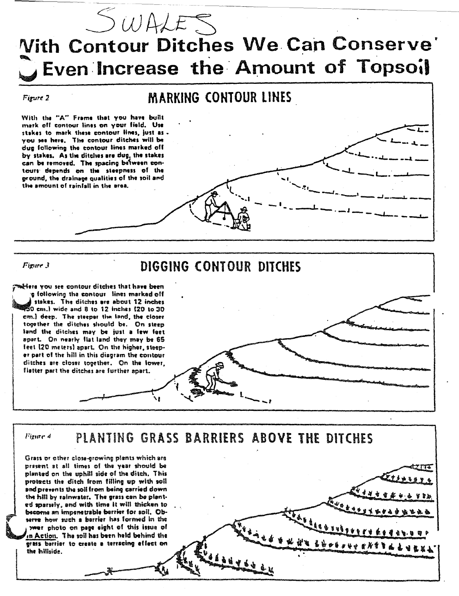

## **Vith Contour Ditches We Can Conserve'** Even Increase the Amount of Topsoil

Figure 2

## **MARKING CONTOUR LINES**

With the "A" Frame that you have built mark off contour lines on your field. Use stakes to mark these contour lines, just as you see here. The contour ditches will be dug following the contour lines marked off by stakes. As the ditches are dug, the stakes can be removed. The spacing between contours depends on the steepness of the ground, the drainage qualities of the soil and the amount of rainfall in the area.

Figure 3

## DIGGING CONTOUR DITCHES

tiers you see contour ditches that have been g following the contour lines marked off siskes. The ditches are about 12 inches  $50$  cm.) wide and 8 to 12 inches (20 to 30 em.) deep. The steeper the land, the closer together the ditches should be. On steep land the ditches may be just a few feet apart. On nearly flat land they may be 65 feet (20 meters) apart. On the higher, steeper part of the hill in this diagram the contour ditches are closer together. On the lower, fistter part the ditches are further apart.



PRAGAALEXLATTETTET.

PLANTING GRASS BARRIERS ABOVE THE DITCHES Fizier 4

Grass or other close-growing plants which are present at all times of the year should be planted on the uphill side of the ditch. This protects the ditch from filling up with soil and prevents the soll from being carried down the hill by rainwater. The grass can be planted sparsely, and with time it will thicken to become an impenetrable berrier for soil. Observe how such a barrier has formed in the wer photo on page sight of this issue of in Action. The soil has been held behind the grass barrier to create a terracing effect on the hillside.